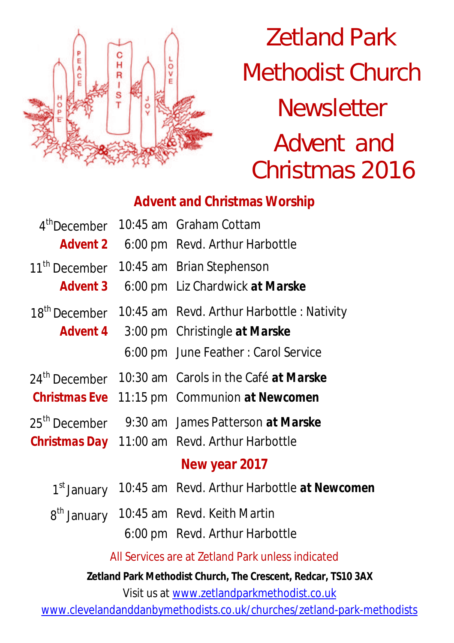

Zetland Park Methodist Church **Newsletter** Advent and Christmas 2016

# **Advent and Christmas Worship**

| 4 <sup>th</sup> December                          |  | 10:45 am Graham Cottam                                          |  |  |
|---------------------------------------------------|--|-----------------------------------------------------------------|--|--|
| <b>Advent 2</b>                                   |  | 6:00 pm Revd. Arthur Harbottle                                  |  |  |
| 11 <sup>th</sup> December                         |  | 10:45 am Brian Stephenson                                       |  |  |
| <b>Advent 3</b>                                   |  | 6:00 pm Liz Chardwick at Marske                                 |  |  |
| 18 <sup>th</sup> December                         |  | 10:45 am Revd. Arthur Harbottle: Nativity                       |  |  |
| <b>Advent 4</b>                                   |  | 3:00 pm Christingle at Marske                                   |  |  |
|                                                   |  | 6:00 pm June Feather: Carol Service                             |  |  |
|                                                   |  | 24 <sup>th</sup> December 10:30 am Carols in the Café at Marske |  |  |
|                                                   |  | <b>Christmas Eve</b> 11:15 pm Communion at Newcomen             |  |  |
| 25 <sup>th</sup> December                         |  | 9:30 am James Patterson at Marske                               |  |  |
|                                                   |  | <b>Christmas Day</b> 11:00 am Revd. Arthur Harbottle            |  |  |
| New year 2017                                     |  |                                                                 |  |  |
| 1 <sup>st</sup> January                           |  | 10:45 am Revd. Arthur Harbottle at Newcomen                     |  |  |
|                                                   |  | 8th January 10:45 am Revd. Keith Martin                         |  |  |
|                                                   |  | 6:00 pm Revd. Arthur Harbottle                                  |  |  |
| All Services are at Zetland Park unless indicated |  |                                                                 |  |  |
|                                                   |  |                                                                 |  |  |

**Zetland Park Methodist Church, The Crescent, Redcar, TS10 3AX**

Visit us at www.zetlandparkmethodist.co.uk

www.clevelandanddanbymethodists.co.uk/churches/zetland-park-methodists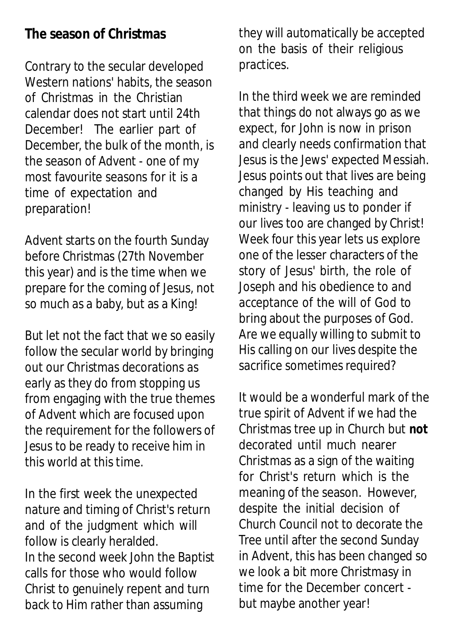### **The season of Christmas**

Contrary to the secular developed Western nations' habits, the season of Christmas in the Christian calendar does not start until 24th December! The earlier part of December, the bulk of the month, is the season of Advent - one of my most favourite seasons for it is a time of expectation and preparation!

Advent starts on the fourth Sunday before Christmas (27th November this year) and is the time when we prepare for the coming of Jesus, not so much as a baby, but as a King!

But let not the fact that we so easily follow the secular world by bringing out our Christmas decorations as early as they do from stopping us from engaging with the true themes of Advent which are focused upon the requirement for the followers of Jesus to be ready to receive him in this world at this time.

In the first week the unexpected nature and timing of Christ's return and of the judgment which will follow is clearly heralded. In the second week John the Baptist calls for those who would follow Christ to genuinely repent and turn back to Him rather than assuming

they will automatically be accepted on the basis of their religious practices.

In the third week we are reminded that things do not always go as we expect, for John is now in prison and clearly needs confirmation that Jesus is the Jews' expected Messiah. Jesus points out that lives are being changed by His teaching and ministry - leaving us to ponder if our lives too are changed by Christ! Week four this year lets us explore one of the lesser characters of the story of Jesus' birth, the role of Joseph and his obedience to and acceptance of the will of God to bring about the purposes of God. Are we equally willing to submit to His calling on our lives despite the sacrifice sometimes required?

It would be a wonderful mark of the true spirit of Advent if we had the Christmas tree up in Church but **not** decorated until much nearer Christmas as a sign of the waiting for Christ's return which is the meaning of the season. However, despite the initial decision of Church Council not to decorate the Tree until after the second Sunday in Advent, this has been changed so we look a bit more Christmasy in time for the December concert but maybe another year!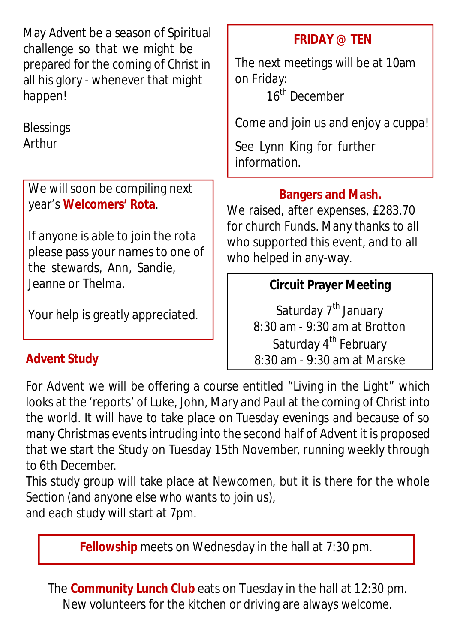**Advent Study FRIDAY @ TEN**  The next meetings will be at 10am on Friday: 16<sup>th</sup> December Come and join us and enjoy a cuppa! See Lynn King for further information. May Advent be a season of Spiritual challenge so that we might be prepared for the coming of Christ in all his glory - whenever that might happen! **Blessings** Arthur We will soon be compiling next year's **Welcomers' Rota**. If anyone is able to join the rota please pass your names to one of the stewards, Ann, Sandie, Jeanne or Thelma. Your help is greatly appreciated. **Circuit Prayer Meeting** Saturday 7<sup>th</sup> January 8:30 am - 9:30 am at Brotton Saturday 4<sup>th</sup> February 8:30 am - 9:30 am at Marske **Bangers and Mash.** We raised, after expenses, £283.70 for church Funds. Many thanks to all who supported this event, and to all who helped in any-way.

For Advent we will be offering a course entitled "Living in the Light" which looks at the 'reports' of Luke, John, Mary and Paul at the coming of Christ into the world. It will have to take place on Tuesday evenings and because of so many Christmas events intruding into the second half of Advent it is proposed that we start the Study on Tuesday 15th November, running weekly through to 6th December.

This study group will take place at Newcomen, but it is there for the whole Section (and anyone else who wants to join us),

and each study will start at 7pm.

**Fellowship** meets on Wednesday in the hall at 7:30 pm.

The **Community Lunch Club** eats on Tuesday in the hall at 12:30 pm. New volunteers for the kitchen or driving are always welcome.